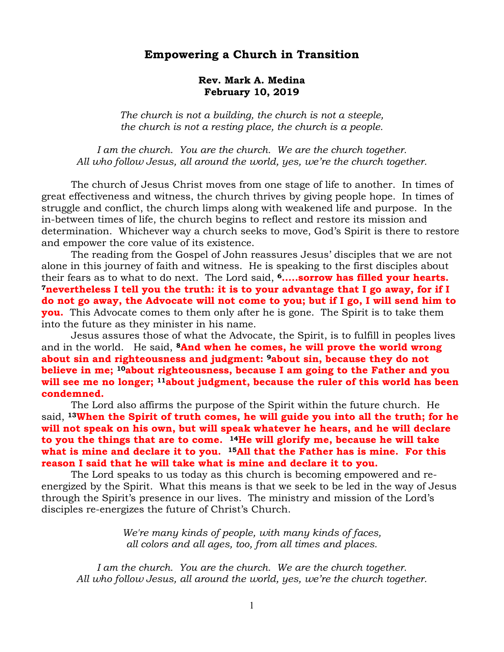## **Empowering a Church in Transition**

## **Rev. Mark A. Medina February 10, 2019**

*The church is not a building, the church is not a steeple, the church is not a resting place, the church is a people.* 

*I am the church. You are the church. We are the church together. All who follow Jesus, all around the world, yes, we're the church together.*

The church of Jesus Christ moves from one stage of life to another. In times of great effectiveness and witness, the church thrives by giving people hope. In times of struggle and conflict, the church limps along with weakened life and purpose. In the in-between times of life, the church begins to reflect and restore its mission and determination. Whichever way a church seeks to move, God's Spirit is there to restore and empower the core value of its existence.

The reading from the Gospel of John reassures Jesus' disciples that we are not alone in this journey of faith and witness. He is speaking to the first disciples about their fears as to what to do next. The Lord said, **6…..sorrow has filled your hearts. <sup>7</sup>nevertheless I tell you the truth: it is to your advantage that I go away, for if I do not go away, the Advocate will not come to you; but if I go, I will send him to you.** This Advocate comes to them only after he is gone. The Spirit is to take them into the future as they minister in his name.

Jesus assures those of what the Advocate, the Spirit, is to fulfill in peoples lives and in the world. He said, **<sup>8</sup>And when he comes, he will prove the world wrong about sin and righteousness and judgment: 9about sin, because they do not believe in me; 10about righteousness, because I am going to the Father and you will see me no longer; 11about judgment, because the ruler of this world has been condemned.**

The Lord also affirms the purpose of the Spirit within the future church. He said, **13When the Spirit of truth comes, he will guide you into all the truth; for he will not speak on his own, but will speak whatever he hears, and he will declare to you the things that are to come. 14He will glorify me, because he will take what is mine and declare it to you. 15All that the Father has is mine. For this reason I said that he will take what is mine and declare it to you.**

The Lord speaks to us today as this church is becoming empowered and reenergized by the Spirit. What this means is that we seek to be led in the way of Jesus through the Spirit's presence in our lives. The ministry and mission of the Lord's disciples re-energizes the future of Christ's Church.

> *We're many kinds of people, with many kinds of faces, all colors and all ages, too, from all times and places.*

I am the church. You are the church. We are the church together. *All who follow Jesus, all around the world, yes, we're the church together.*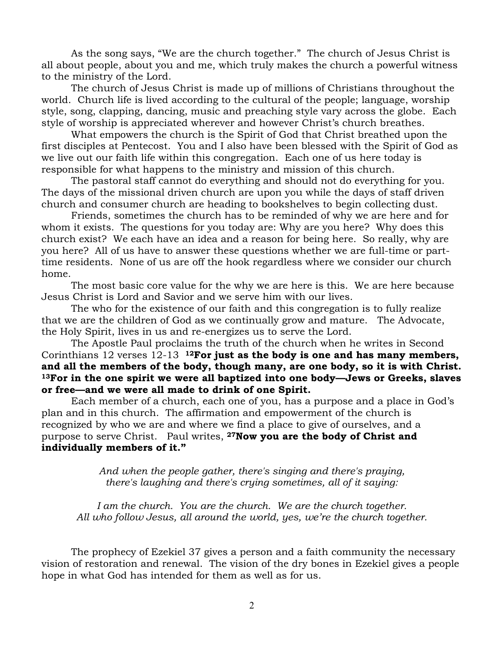As the song says, "We are the church together." The church of Jesus Christ is all about people, about you and me, which truly makes the church a powerful witness to the ministry of the Lord.

The church of Jesus Christ is made up of millions of Christians throughout the world. Church life is lived according to the cultural of the people; language, worship style, song, clapping, dancing, music and preaching style vary across the globe. Each style of worship is appreciated wherever and however Christ's church breathes.

What empowers the church is the Spirit of God that Christ breathed upon the first disciples at Pentecost. You and I also have been blessed with the Spirit of God as we live out our faith life within this congregation. Each one of us here today is responsible for what happens to the ministry and mission of this church.

The pastoral staff cannot do everything and should not do everything for you. The days of the missional driven church are upon you while the days of staff driven church and consumer church are heading to bookshelves to begin collecting dust.

Friends, sometimes the church has to be reminded of why we are here and for whom it exists. The questions for you today are: Why are you here? Why does this church exist? We each have an idea and a reason for being here. So really, why are you here? All of us have to answer these questions whether we are full-time or parttime residents. None of us are off the hook regardless where we consider our church home.

The most basic core value for the why we are here is this. We are here because Jesus Christ is Lord and Savior and we serve him with our lives.

The who for the existence of our faith and this congregation is to fully realize that we are the children of God as we continually grow and mature. The Advocate, the Holy Spirit, lives in us and re-energizes us to serve the Lord.

The Apostle Paul proclaims the truth of the church when he writes in Second Corinthians 12 verses 12-13 **12For just as the body is one and has many members, and all the members of the body, though many, are one body, so it is with Christ. <sup>13</sup>For in the one spirit we were all baptized into one body—Jews or Greeks, slaves or free—and we were all made to drink of one Spirit.**

Each member of a church, each one of you, has a purpose and a place in God's plan and in this church. The affirmation and empowerment of the church is recognized by who we are and where we find a place to give of ourselves, and a purpose to serve Christ. Paul writes, **27Now you are the body of Christ and individually members of it."**

> *And when the people gather, there's singing and there's praying, there's laughing and there's crying sometimes, all of it saying:*

*I am the church. You are the church. We are the church together. All who follow Jesus, all around the world, yes, we're the church together.*

The prophecy of Ezekiel 37 gives a person and a faith community the necessary vision of restoration and renewal. The vision of the dry bones in Ezekiel gives a people hope in what God has intended for them as well as for us.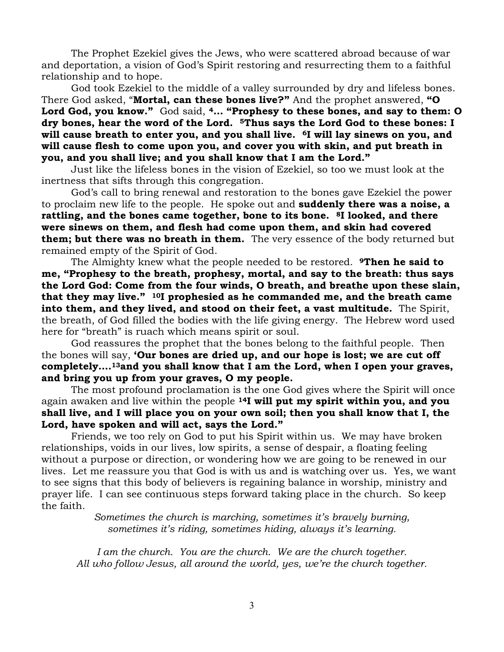The Prophet Ezekiel gives the Jews, who were scattered abroad because of war and deportation, a vision of God's Spirit restoring and resurrecting them to a faithful relationship and to hope.

God took Ezekiel to the middle of a valley surrounded by dry and lifeless bones. There God asked, "**Mortal, can these bones live?"** And the prophet answered, **"O Lord God, you know."** God said, **<sup>4</sup>… "Prophesy to these bones, and say to them: O dry bones, hear the word of the Lord. 5Thus says the Lord God to these bones: I will cause breath to enter you, and you shall live. 6I will lay sinews on you, and will cause flesh to come upon you, and cover you with skin, and put breath in you, and you shall live; and you shall know that I am the Lord."**

Just like the lifeless bones in the vision of Ezekiel, so too we must look at the inertness that sifts through this congregation.

God's call to bring renewal and restoration to the bones gave Ezekiel the power to proclaim new life to the people. He spoke out and **suddenly there was a noise, a rattling, and the bones came together, bone to its bone. 8I looked, and there were sinews on them, and flesh had come upon them, and skin had covered them; but there was no breath in them.** The very essence of the body returned but remained empty of the Spirit of God.

The Almighty knew what the people needed to be restored. **9Then he said to me, "Prophesy to the breath, prophesy, mortal, and say to the breath: thus says the Lord God: Come from the four winds, O breath, and breathe upon these slain, that they may live." 10I prophesied as he commanded me, and the breath came into them, and they lived, and stood on their feet, a vast multitude.** The Spirit, the breath, of God filled the bodies with the life giving energy. The Hebrew word used here for "breath" is ruach which means spirit or soul.

God reassures the prophet that the bones belong to the faithful people. Then the bones will say, **'Our bones are dried up, and our hope is lost; we are cut off completely….13and you shall know that I am the Lord, when I open your graves, and bring you up from your graves, O my people.** 

The most profound proclamation is the one God gives where the Spirit will once again awaken and live within the people **14I will put my spirit within you, and you shall live, and I will place you on your own soil; then you shall know that I, the Lord, have spoken and will act, says the Lord."**

Friends, we too rely on God to put his Spirit within us. We may have broken relationships, voids in our lives, low spirits, a sense of despair, a floating feeling without a purpose or direction, or wondering how we are going to be renewed in our lives. Let me reassure you that God is with us and is watching over us. Yes, we want to see signs that this body of believers is regaining balance in worship, ministry and prayer life. I can see continuous steps forward taking place in the church. So keep the faith.

> *Sometimes the church is marching, sometimes it's bravely burning, sometimes it's riding, sometimes hiding, always it's learning.*

I am the church. You are the church. We are the church together. *All who follow Jesus, all around the world, yes, we're the church together.*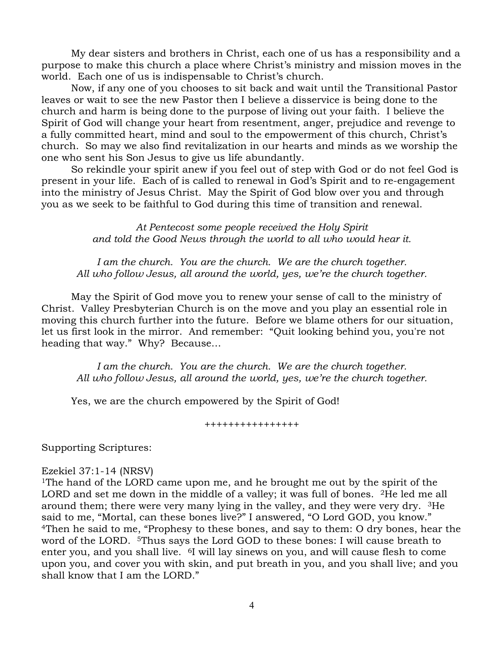My dear sisters and brothers in Christ, each one of us has a responsibility and a purpose to make this church a place where Christ's ministry and mission moves in the world. Each one of us is indispensable to Christ's church.

Now, if any one of you chooses to sit back and wait until the Transitional Pastor leaves or wait to see the new Pastor then I believe a disservice is being done to the church and harm is being done to the purpose of living out your faith. I believe the Spirit of God will change your heart from resentment, anger, prejudice and revenge to a fully committed heart, mind and soul to the empowerment of this church, Christ's church. So may we also find revitalization in our hearts and minds as we worship the one who sent his Son Jesus to give us life abundantly.

So rekindle your spirit anew if you feel out of step with God or do not feel God is present in your life. Each of is called to renewal in God's Spirit and to re-engagement into the ministry of Jesus Christ. May the Spirit of God blow over you and through you as we seek to be faithful to God during this time of transition and renewal.

> *At Pentecost some people received the Holy Spirit and told the Good News through the world to all who would hear it.*

*I am the church. You are the church. We are the church together. All who follow Jesus, all around the world, yes, we're the church together.*

May the Spirit of God move you to renew your sense of call to the ministry of Christ. Valley Presbyterian Church is on the move and you play an essential role in moving this church further into the future. Before we blame others for our situation, let us first look in the mirror. And remember: "[Quit looking behind you, you're not](http://www.searchquotes.com/quotation/Quit_looking_behind_you%25252C_you%252527re_not_heading_that_way./701734/)  [heading that way.](http://www.searchquotes.com/quotation/Quit_looking_behind_you%25252C_you%252527re_not_heading_that_way./701734/)" Why? Because…

I am the church. You are the church. We are the church together. *All who follow Jesus, all around the world, yes, we're the church together.*

Yes, we are the church empowered by the Spirit of God!

++++++++++++++++

Supporting Scriptures:

## Ezekiel 37:1-14 (NRSV)

<sup>1</sup>The hand of the LORD came upon me, and he brought me out by the spirit of the LORD and set me down in the middle of a valley; it was full of bones. <sup>2</sup>He led me all around them; there were very many lying in the valley, and they were very dry. 3He said to me, "Mortal, can these bones live?" I answered, "O Lord GOD, you know." <sup>4</sup>Then he said to me, "Prophesy to these bones, and say to them: O dry bones, hear the word of the LORD. <sup>5</sup>Thus says the Lord GOD to these bones: I will cause breath to enter you, and you shall live. 6I will lay sinews on you, and will cause flesh to come upon you, and cover you with skin, and put breath in you, and you shall live; and you shall know that I am the LORD."